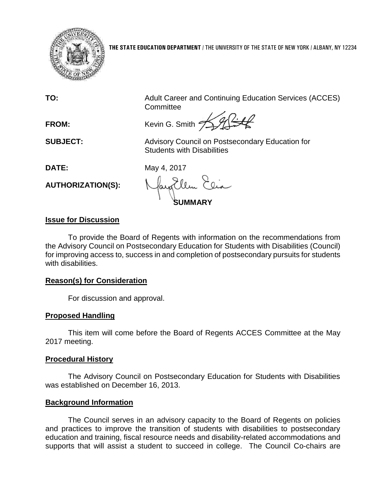

**THE STATE EDUCATION DEPARTMENT** / THE UNIVERSITY OF THE STATE OF NEW YORK / ALBANY, NY 12234

**TO:** Adult Career and Continuing Education Services (ACCES) **Committee** 

FROM: Kevin G. Smith  $\frac{1}{2}$ 

**SUBJECT:** Advisory Council on Postsecondary Education for Students with Disabilities

**DATE:** May 4, 2017

**AUTHORIZATION(S):**

**SUMMARY**

# **Issue for Discussion**

To provide the Board of Regents with information on the recommendations from the Advisory Council on Postsecondary Education for Students with Disabilities (Council) for improving access to, success in and completion of postsecondary pursuits for students with disabilities.

## **Reason(s) for Consideration**

For discussion and approval.

## **Proposed Handling**

This item will come before the Board of Regents ACCES Committee at the May 2017 meeting.

## **Procedural History**

The Advisory Council on Postsecondary Education for Students with Disabilities was established on December 16, 2013.

## **Background Information**

The Council serves in an advisory capacity to the Board of Regents on policies and practices to improve the transition of students with disabilities to postsecondary education and training, fiscal resource needs and disability-related accommodations and supports that will assist a student to succeed in college. The Council Co-chairs are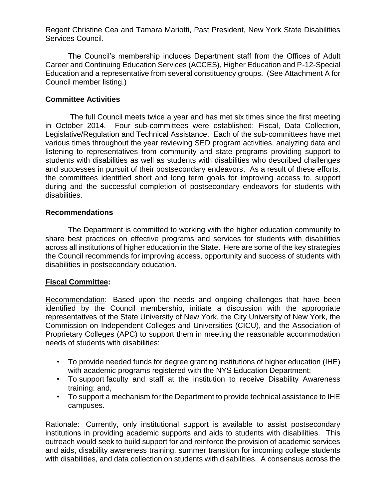Regent Christine Cea and Tamara Mariotti, Past President, New York State Disabilities Services Council.

The Council's membership includes Department staff from the Offices of Adult Career and Continuing Education Services (ACCES), Higher Education and P-12-Special Education and a representative from several constituency groups. (See Attachment A for Council member listing.)

### **Committee Activities**

The full Council meets twice a year and has met six times since the first meeting in October 2014. Four sub-committees were established: Fiscal, Data Collection, Legislative/Regulation and Technical Assistance. Each of the sub-committees have met various times throughout the year reviewing SED program activities, analyzing data and listening to representatives from community and state programs providing support to students with disabilities as well as students with disabilities who described challenges and successes in pursuit of their postsecondary endeavors. As a result of these efforts, the committees identified short and long term goals for improving access to, support during and the successful completion of postsecondary endeavors for students with disabilities.

#### **Recommendations**

The Department is committed to working with the higher education community to share best practices on effective programs and services for students with disabilities across all institutions of higher education in the State. Here are some of the key strategies the Council recommends for improving access, opportunity and success of students with disabilities in postsecondary education.

## **Fiscal Committee:**

Recommendation: Based upon the needs and ongoing challenges that have been identified by the Council membership, initiate a discussion with the appropriate representatives of the State University of New York, the City University of New York, the Commission on Independent Colleges and Universities (CICU), and the Association of Proprietary Colleges (APC) to support them in meeting the reasonable accommodation needs of students with disabilities:

- To provide needed funds for degree granting institutions of higher education (IHE) with academic programs registered with the NYS Education Department;
- To support faculty and staff at the institution to receive Disability Awareness training: and,
- To support a mechanism for the Department to provide technical assistance to IHE campuses.

Rationale: Currently, only institutional support is available to assist postsecondary institutions in providing academic supports and aids to students with disabilities. This outreach would seek to build support for and reinforce the provision of academic services and aids, disability awareness training, summer transition for incoming college students with disabilities, and data collection on students with disabilities. A consensus across the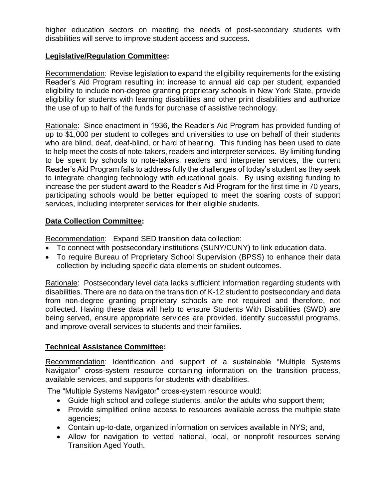higher education sectors on meeting the needs of post-secondary students with disabilities will serve to improve student access and success.

#### **Legislative/Regulation Committee:**

Recommendation: Revise legislation to expand the eligibility requirements for the existing Reader's Aid Program resulting in: increase to annual aid cap per student, expanded eligibility to include non-degree granting proprietary schools in New York State, provide eligibility for students with learning disabilities and other print disabilities and authorize the use of up to half of the funds for purchase of assistive technology.

Rationale: Since enactment in 1936, the Reader's Aid Program has provided funding of up to \$1,000 per student to colleges and universities to use on behalf of their students who are blind, deaf, deaf-blind, or hard of hearing. This funding has been used to date to help meet the costs of note-takers, readers and interpreter services. By limiting funding to be spent by schools to note-takers, readers and interpreter services, the current Reader's Aid Program fails to address fully the challenges of today's student as they seek to integrate changing technology with educational goals. By using existing funding to increase the per student award to the Reader's Aid Program for the first time in 70 years, participating schools would be better equipped to meet the soaring costs of support services, including interpreter services for their eligible students.

#### **Data Collection Committee:**

Recommendation: Expand SED transition data collection:

- To connect with postsecondary institutions (SUNY/CUNY) to link education data.
- To require Bureau of Proprietary School Supervision (BPSS) to enhance their data collection by including specific data elements on student outcomes.

Rationale: Postsecondary level data lacks sufficient information regarding students with disabilities. There are no data on the transition of K-12 student to postsecondary and data from non-degree granting proprietary schools are not required and therefore, not collected. Having these data will help to ensure Students With Disabilities (SWD) are being served, ensure appropriate services are provided, identify successful programs, and improve overall services to students and their families.

#### **Technical Assistance Committee:**

Recommendation: Identification and support of a sustainable "Multiple Systems Navigator" cross-system resource containing information on the transition process, available services, and supports for students with disabilities.

The "Multiple Systems Navigator" cross-system resource would:

- Guide high school and college students, and/or the adults who support them;
- Provide simplified online access to resources available across the multiple state agencies;
- Contain up-to-date, organized information on services available in NYS; and,
- Allow for navigation to vetted national, local, or nonprofit resources serving Transition Aged Youth.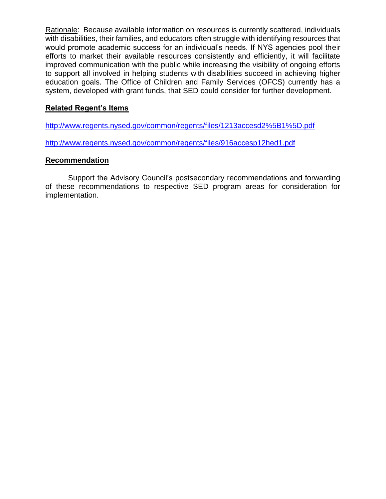Rationale: Because available information on resources is currently scattered, individuals with disabilities, their families, and educators often struggle with identifying resources that would promote academic success for an individual's needs. If NYS agencies pool their efforts to market their available resources consistently and efficiently, it will facilitate improved communication with the public while increasing the visibility of ongoing efforts to support all involved in helping students with disabilities succeed in achieving higher education goals. The Office of Children and Family Services (OFCS) currently has a system, developed with grant funds, that SED could consider for further development.

#### **Related Regent's Items**

<http://www.regents.nysed.gov/common/regents/files/1213accesd2%5B1%5D.pdf>

<http://www.regents.nysed.gov/common/regents/files/916accesp12hed1.pdf>

#### **Recommendation**

Support the Advisory Council's postsecondary recommendations and forwarding of these recommendations to respective SED program areas for consideration for implementation.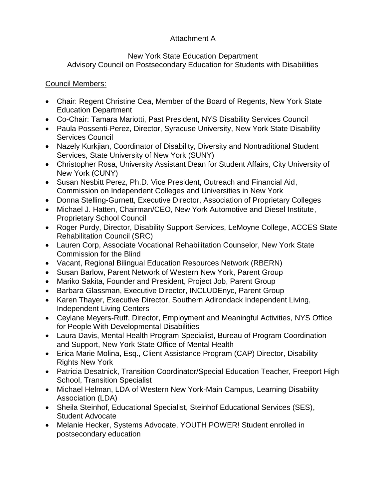# Attachment A

#### New York State Education Department Advisory Council on Postsecondary Education for Students with Disabilities

## Council Members:

- Chair: Regent Christine Cea, Member of the Board of Regents, New York State Education Department
- Co-Chair: Tamara Mariotti, Past President, NYS Disability Services Council
- Paula Possenti-Perez, Director, Syracuse University, New York State Disability Services Council
- Nazely Kurkjian, Coordinator of Disability, Diversity and Nontraditional Student Services, State University of New York (SUNY)
- Christopher Rosa, University Assistant Dean for Student Affairs, City University of New York (CUNY)
- Susan Nesbitt Perez, Ph.D. Vice President, Outreach and Financial Aid, Commission on Independent Colleges and Universities in New York
- Donna Stelling-Gurnett, Executive Director, Association of Proprietary Colleges
- Michael J. Hatten, Chairman/CEO, New York Automotive and Diesel Institute, Proprietary School Council
- Roger Purdy, Director, Disability Support Services, LeMoyne College, ACCES State Rehabilitation Council (SRC)
- Lauren Corp, Associate Vocational Rehabilitation Counselor, New York State Commission for the Blind
- Vacant, Regional Bilingual Education Resources Network (RBERN)
- Susan Barlow, Parent Network of Western New York, Parent Group
- Mariko Sakita, Founder and President, Project Job, Parent Group
- Barbara Glassman, Executive Director, INCLUDEnyc, Parent Group
- Karen Thayer, Executive Director, Southern Adirondack Independent Living, Independent Living Centers
- Ceylane Meyers-Ruff, Director, Employment and Meaningful Activities, NYS Office for People With Developmental Disabilities
- Laura Davis, Mental Health Program Specialist, Bureau of Program Coordination and Support, New York State Office of Mental Health
- Erica Marie Molina, Esq., Client Assistance Program (CAP) Director, Disability Rights New York
- Patricia Desatnick, Transition Coordinator/Special Education Teacher, Freeport High School, Transition Specialist
- Michael Helman, LDA of Western New York-Main Campus, Learning Disability Association (LDA)
- Sheila Steinhof, Educational Specialist, Steinhof Educational Services (SES), Student Advocate
- Melanie Hecker, Systems Advocate, YOUTH POWER! Student enrolled in postsecondary education